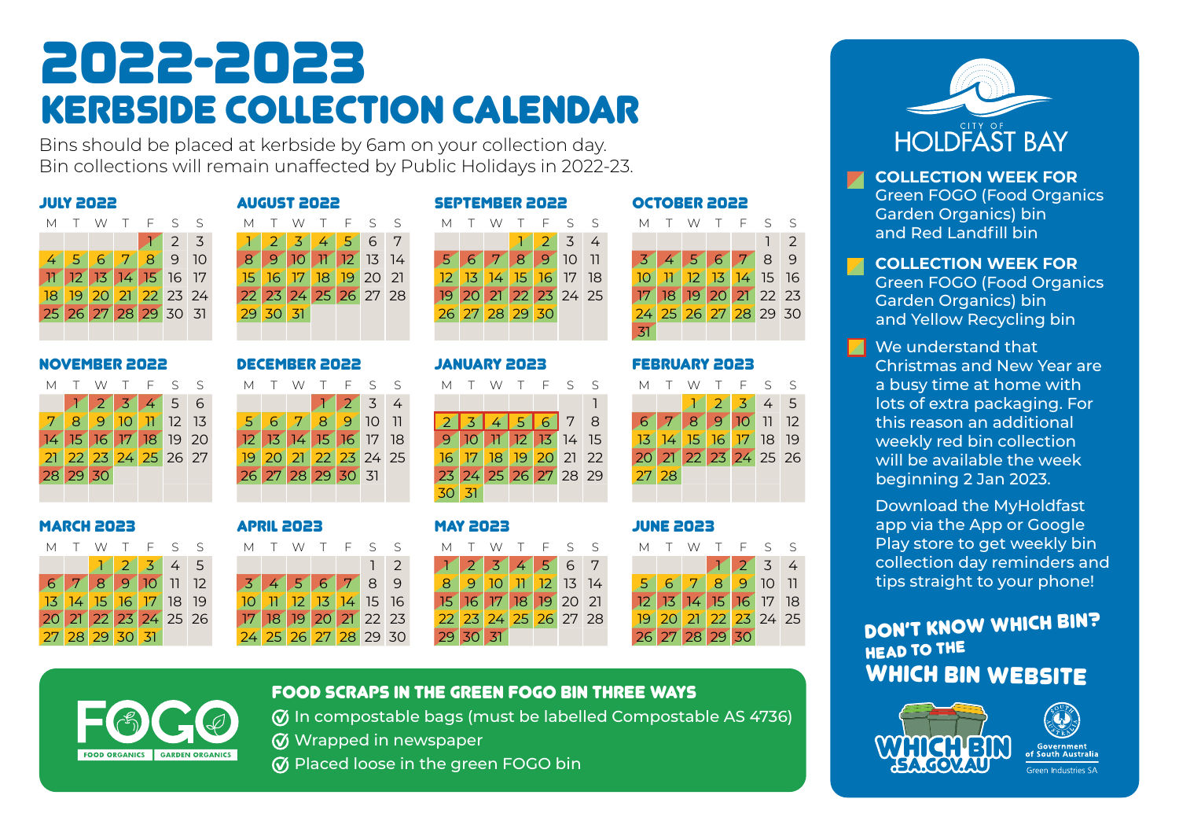## 2022-2023 kerbside collection calendar

Bins should be placed at kerbside by 6am on your collection day. Bin collections will remain unaffected by Public Holidays in 2022-23.

|  |  | M T W T F S S        |  |
|--|--|----------------------|--|
|  |  | 123                  |  |
|  |  | 4 5 6 7 8 9 10       |  |
|  |  | 17 12 13 14 15 16 17 |  |
|  |  | 18 19 20 21 22 23 24 |  |
|  |  | 25 26 27 28 29 30 31 |  |
|  |  |                      |  |

#### NOVEMBER 2022 DECEMBER 2022 JANUARY 2023 FEBRUARY 2023

| М |          |  | T W T F S S          |  |
|---|----------|--|----------------------|--|
|   |          |  | 123456               |  |
|   |          |  | 8 9 10 11 12 13      |  |
|   |          |  | 14 15 16 17 18 19 20 |  |
|   |          |  | 21 22 23 24 25 26 27 |  |
|   | 28 29 30 |  |                      |  |
|   |          |  |                      |  |

#### MARCH 2023 APRIL 2023 MAY 2023 JUNE 2023

| м |  | T W T F S S          |  |  |
|---|--|----------------------|--|--|
|   |  | $12345$              |  |  |
|   |  | 6 7 8 9 10 11 12     |  |  |
|   |  | 13 14 15 16 17 18 19 |  |  |
|   |  | 20 21 22 23 24 25 26 |  |  |
|   |  | 27 28 29 30 31       |  |  |

# JULY 2022 AUGUST 2022 SEPTEMBER 2022 OCTOBER 2022

|  |  |  | MTWTFSS              |  |          |  | MTWTFSS              |  | MTWTFSS              |  |  |                      |  |  | MTWTFSS              |  |                 |  |
|--|--|--|----------------------|--|----------|--|----------------------|--|----------------------|--|--|----------------------|--|--|----------------------|--|-----------------|--|
|  |  |  |                      |  |          |  | 1 2 3 4 5 6 7        |  |                      |  |  | 1234                 |  |  |                      |  | $1\overline{2}$ |  |
|  |  |  | 4 5 6 7 8 9 10       |  |          |  | 8 9 10 11 12 13 14   |  | 5 6 7 8 9 10 11      |  |  |                      |  |  | 3456789              |  |                 |  |
|  |  |  | 11 12 13 14 15 16 17 |  |          |  | 15 16 17 18 19 20 21 |  | 12 13 14 15 16 17 18 |  |  |                      |  |  | 10 11 12 13 14 15 16 |  |                 |  |
|  |  |  | 18 19 20 21 22 23 24 |  |          |  | 22 23 24 25 26 27 28 |  |                      |  |  | 19 20 21 22 23 24 25 |  |  | 17 18 19 20 21 22 23 |  |                 |  |
|  |  |  | 25 26 27 28 29 30 31 |  | 29 30 31 |  |                      |  | 26 27 28 29 30       |  |  |                      |  |  | 24 25 26 27 28 29 30 |  |                 |  |
|  |  |  |                      |  |          |  |                      |  |                      |  |  |                      |  |  |                      |  |                 |  |

|          | M T W T F S S        |  |                      |     | M T |               | W T F S S         |                      |  | M T                              | W T F S S |  |                      |                 | M T W T F S S        |               |             |                |  |
|----------|----------------------|--|----------------------|-----|-----|---------------|-------------------|----------------------|--|----------------------------------|-----------|--|----------------------|-----------------|----------------------|---------------|-------------|----------------|--|
|          | 123456               |  |                      |     |     |               |                   | 1234                 |  |                                  |           |  |                      |                 |                      |               | $2\sqrt{3}$ | 4 <sub>5</sub> |  |
|          | 7 8 9 10 11 12 13    |  |                      | -51 | 6   | $\mathcal{T}$ |                   | 8 9 10 11            |  |                                  | 45678     |  |                      | $6 \mid 7 \mid$ | 8 <sup>°</sup>       | $\mathcal{P}$ |             | $10$ 11 12     |  |
|          |                      |  | 14 15 16 17 18 19 20 |     |     |               |                   | 12 13 14 15 16 17 18 |  | $9$ 10 $\frac{1}{2}$ 12 13 14 15 |           |  |                      |                 | 13 14 15 16 17 18 19 |               |             |                |  |
|          | 21 22 23 24 25 26 27 |  |                      |     |     |               |                   | 19 20 21 22 23 24 25 |  |                                  |           |  | 16 17 18 19 20 21 22 |                 | 20 21 22 23 24 25 26 |               |             |                |  |
| 28 29 30 |                      |  |                      |     |     |               | 26 27 28 29 30 31 |                      |  |                                  |           |  | 23 24 25 26 27 28 29 | 27 28           |                      |               |             |                |  |
|          |                      |  |                      |     |     |               |                   |                      |  | 30 31                            |           |  |                      |                 |                      |               |             |                |  |

|  |                |  |                      |  |  |  |                        |  | MTWTFSS MTWTFSS MTWTFSS MTWTFSS |  |  |                      |  |                      |  |  |
|--|----------------|--|----------------------|--|--|--|------------------------|--|---------------------------------|--|--|----------------------|--|----------------------|--|--|
|  |                |  |                      |  |  |  | 12                     |  | 1234567                         |  |  |                      |  | 1234                 |  |  |
|  |                |  | 6 7 8 9 10 11 12     |  |  |  | 3456789                |  |                                 |  |  | 8 9 10 11 12 13 14   |  | 567891011            |  |  |
|  |                |  | 13 14 15 16 17 18 19 |  |  |  | $10$ 11 12 13 14 15 16 |  | 15 16 17 18 19 20 21            |  |  |                      |  | 12 13 14 15 16 17 18 |  |  |
|  |                |  | 20 21 22 23 24 25 26 |  |  |  | 17 18 19 20 21 22 23   |  |                                 |  |  | 22 23 24 25 26 27 28 |  | 19 20 21 22 23 24 25 |  |  |
|  | 27 28 29 30 31 |  |                      |  |  |  | 24 25 26 27 28 29 30   |  | $29 \, 30 \, 31$                |  |  |                      |  | 26 27 28 29 30       |  |  |

31

| м          |        | T W | T F S |                       | $\varsigma$ |
|------------|--------|-----|-------|-----------------------|-------------|
|            |        |     |       | $2 \times 3 \times 5$ |             |
| $\epsilon$ | $\tau$ |     |       | 8 9 10 11 12          |             |
|            |        |     |       | 13 14 15 16 17 18 19  |             |
|            |        |     |       | 20 21 22 23 24 25 26  |             |
| 27 28      |        |     |       |                       |             |
|            |        |     |       |                       |             |



FOOD SCRAPS IN THE GREEN FOGO BIN THREE WAYS

In compostable bags (must be labelled Compostable AS 4736) **W** Wrapped in newspaper

 $\varnothing$  Placed loose in the green FOGO bin



**COLLECTION WEEK FOR**  $\mathbf{z}$ Green FOGO (Food Organics Garden Organics) bin and Red Landfill bin

**COLLECTION WEEK FOR** 

Green FOGO (Food Organics Garden Organics) bin and Yellow Recycling bin

**M** We understand that Christmas and New Year are a busy time at home with lots of extra packaging. For this reason an additional weekly red bin collection will be available the week beginning 2 Jan 2023.

> Download the MyHoldfast app via the App or Google Play store to get weekly bin collection day reminders and tips straight to your phone!

### DON'T KNOW WHICH BIN? HEAD TO THE WHICH BIN WEBSITE